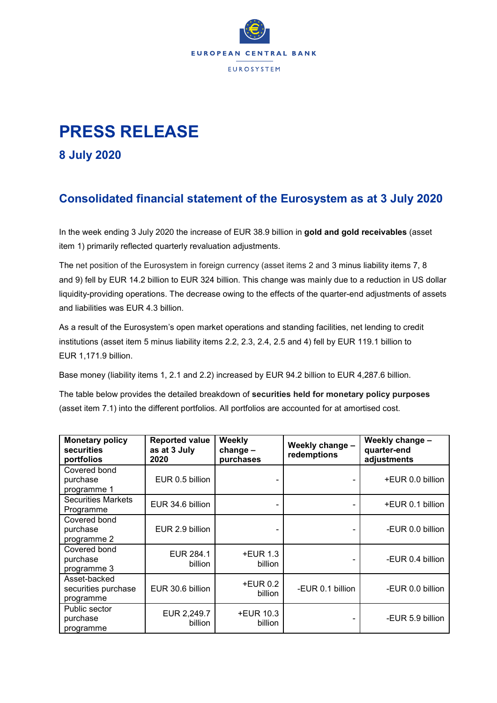

## **PRESS RELEASE**

**8 July 2020**

## **Consolidated financial statement of the Eurosystem as at 3 July 2020**

In the week ending 3 July 2020 the increase of EUR 38.9 billion in **gold and gold receivables** (asset item 1) primarily reflected quarterly revaluation adjustments.

The net position of the Eurosystem in foreign currency (asset items 2 and 3 minus liability items 7, 8 and 9) fell by EUR 14.2 billion to EUR 324 billion. This change was mainly due to a reduction in US dollar liquidity-providing operations. The decrease owing to the effects of the quarter-end adjustments of assets and liabilities was EUR 4.3 billion.

As a result of the Eurosystem's open market operations and standing facilities, net lending to credit institutions (asset item 5 minus liability items 2.2, 2.3, 2.4, 2.5 and 4) fell by EUR 119.1 billion to EUR 1,171.9 billion.

Base money (liability items 1, 2.1 and 2.2) increased by EUR 94.2 billion to EUR 4,287.6 billion.

The table below provides the detailed breakdown of **securities held for monetary policy purposes** (asset item 7.1) into the different portfolios. All portfolios are accounted for at amortised cost.

| <b>Monetary policy</b><br>securities<br>portfolios | <b>Reported value</b><br>as at 3 July<br>2020 | Weekly<br>$change -$<br>purchases | Weekly change -<br>redemptions | Weekly change -<br>quarter-end<br>adjustments |
|----------------------------------------------------|-----------------------------------------------|-----------------------------------|--------------------------------|-----------------------------------------------|
| Covered bond<br>purchase<br>programme 1            | EUR 0.5 billion                               |                                   |                                | +EUR 0.0 billion                              |
| <b>Securities Markets</b><br>Programme             | EUR 34.6 billion                              |                                   |                                | +EUR 0.1 billion                              |
| Covered bond<br>purchase<br>programme 2            | EUR 2.9 billion                               |                                   |                                | -EUR 0.0 billion                              |
| Covered bond<br>purchase<br>programme 3            | EUR 284.1<br>billion                          | $+EUR$ 1.3<br>billion             | -                              | -EUR 0.4 billion                              |
| Asset-backed<br>securities purchase<br>programme   | EUR 30.6 billion                              | $+EUR$ 0.2<br>billion             | -EUR 0.1 billion               | -EUR 0.0 billion                              |
| Public sector<br>purchase<br>programme             | EUR 2,249.7<br>billion                        | +EUR 10.3<br>billion              | -                              | -EUR 5.9 billion                              |